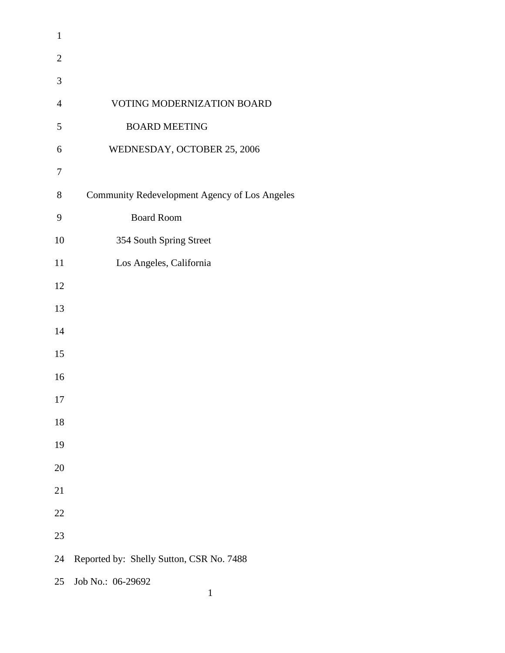| $\mathbf{1}$   |                                               |
|----------------|-----------------------------------------------|
| $\overline{2}$ |                                               |
| 3              |                                               |
| $\overline{4}$ | VOTING MODERNIZATION BOARD                    |
| 5              | <b>BOARD MEETING</b>                          |
| 6              | WEDNESDAY, OCTOBER 25, 2006                   |
| $\tau$         |                                               |
| 8              | Community Redevelopment Agency of Los Angeles |
| 9              | <b>Board Room</b>                             |
| 10             | 354 South Spring Street                       |
| 11             | Los Angeles, California                       |
| 12             |                                               |
| 13             |                                               |
| 14             |                                               |
| 15             |                                               |
| 16             |                                               |
| 17             |                                               |
| 18             |                                               |
| 19             |                                               |
| 20             |                                               |
| 21             |                                               |
| 22             |                                               |
| 23             |                                               |
| 24             | Reported by: Shelly Sutton, CSR No. 7488      |
| 25             | Job No.: 06-29692<br>$\mathbf{1}$             |
|                |                                               |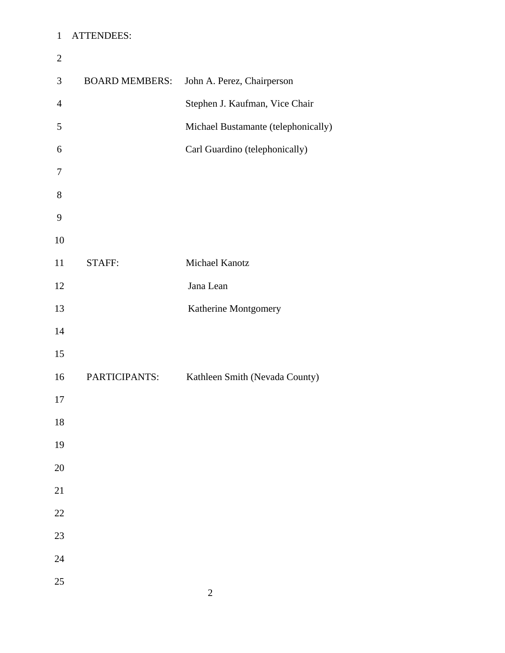## 1 ATTENDEES:

| $\mathbf{2}$   |                       |                                     |
|----------------|-----------------------|-------------------------------------|
| $\mathfrak{Z}$ | <b>BOARD MEMBERS:</b> | John A. Perez, Chairperson          |
| $\overline{4}$ |                       | Stephen J. Kaufman, Vice Chair      |
| 5              |                       | Michael Bustamante (telephonically) |
| 6              |                       | Carl Guardino (telephonically)      |
| $\tau$         |                       |                                     |
| $8\,$          |                       |                                     |
| $\mathbf{9}$   |                       |                                     |
| 10             |                       |                                     |
| 11             | STAFF:                | Michael Kanotz                      |
| 12             |                       | Jana Lean                           |
| 13             |                       | Katherine Montgomery                |
| 14             |                       |                                     |
| 15             |                       |                                     |
| 16             | PARTICIPANTS:         | Kathleen Smith (Nevada County)      |
| 17             |                       |                                     |
| 18             |                       |                                     |
| 19             |                       |                                     |
| $20\,$         |                       |                                     |
| 21             |                       |                                     |
| $22\,$         |                       |                                     |
| 23             |                       |                                     |
| 24             |                       |                                     |
| 25             |                       |                                     |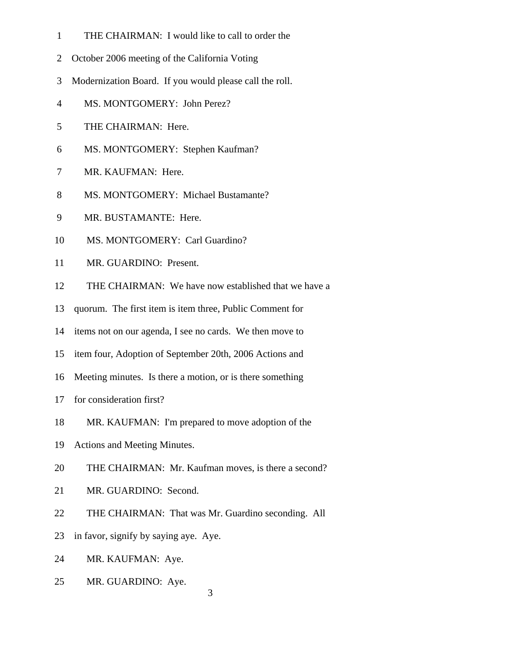- 1 THE CHAIRMAN: I would like to call to order the
- 2 October 2006 meeting of the California Voting
- 3 Modernization Board. If you would please call the roll.
- 4 MS. MONTGOMERY: John Perez?
- 5 THE CHAIRMAN: Here.
- 6 MS. MONTGOMERY: Stephen Kaufman?
- 7 MR. KAUFMAN: Here.
- 8 MS. MONTGOMERY: Michael Bustamante?
- 9 MR. BUSTAMANTE: Here.
- 10 MS. MONTGOMERY: Carl Guardino?
- 11 MR. GUARDINO: Present.
- 12 THE CHAIRMAN: We have now established that we have a
- 13 quorum. The first item is item three, Public Comment for
- 14 items not on our agenda, I see no cards. We then move to
- 15 item four, Adoption of September 20th, 2006 Actions and
- 16 Meeting minutes. Is there a motion, or is there something
- 17 for consideration first?
- 18 MR. KAUFMAN: I'm prepared to move adoption of the
- 19 Actions and Meeting Minutes.
- 20 THE CHAIRMAN: Mr. Kaufman moves, is there a second?
- 21 MR. GUARDINO: Second.
- 22 THE CHAIRMAN: That was Mr. Guardino seconding. All
- 23 in favor, signify by saying aye. Aye.
- 24 MR. KAUFMAN: Aye.
- 25 MR. GUARDINO: Aye.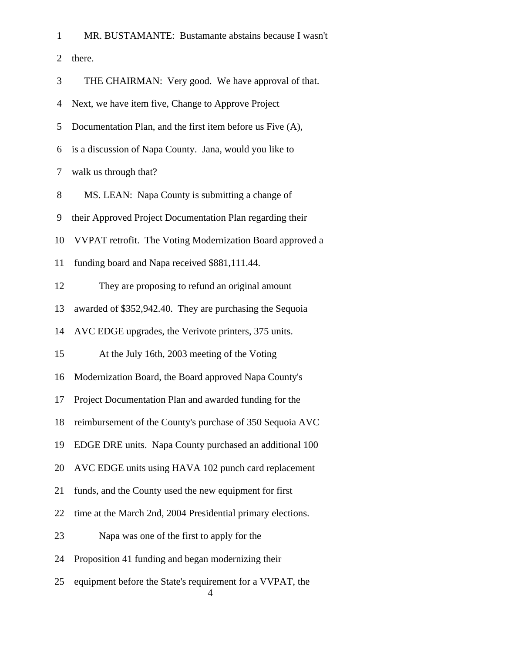| 1                           | MR. BUSTAMANTE: Bustamante abstains because I wasn't       |
|-----------------------------|------------------------------------------------------------|
| $\mathcal{D}_{\mathcal{L}}$ | there.                                                     |
| 3                           | THE CHAIRMAN: Very good. We have approval of that.         |
| 4                           | Next, we have item five, Change to Approve Project         |
| 5.                          | Documentation Plan, and the first item before us Five (A), |
| 6                           | is a discussion of Napa County. Jana, would you like to    |
|                             | walk us through that?                                      |

8 MS. LEAN: Napa County is submitting a change of

9 their Approved Project Documentation Plan regarding their

10 VVPAT retrofit. The Voting Modernization Board approved a

11 funding board and Napa received \$881,111.44.

12 They are proposing to refund an original amount

13 awarded of \$352,942.40. They are purchasing the Sequoia

14 AVC EDGE upgrades, the Verivote printers, 375 units.

15 At the July 16th, 2003 meeting of the Voting

16 Modernization Board, the Board approved Napa County's

17 Project Documentation Plan and awarded funding for the

18 reimbursement of the County's purchase of 350 Sequoia AVC

19 EDGE DRE units. Napa County purchased an additional 100

20 AVC EDGE units using HAVA 102 punch card replacement

21 funds, and the County used the new equipment for first

22 time at the March 2nd, 2004 Presidential primary elections.

23 Napa was one of the first to apply for the

24 Proposition 41 funding and began modernizing their

 25 equipment before the State's requirement for a VVPAT, the 4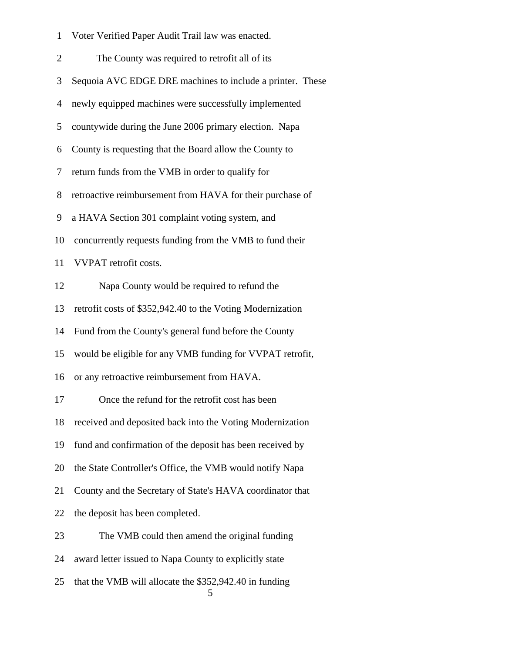| $\mathbf{1}$   | Voter Verified Paper Audit Trail law was enacted.           |
|----------------|-------------------------------------------------------------|
| $\overline{2}$ | The County was required to retrofit all of its              |
| 3              | Sequoia AVC EDGE DRE machines to include a printer. These   |
| $\overline{4}$ | newly equipped machines were successfully implemented       |
| 5              | countywide during the June 2006 primary election. Napa      |
| 6              | County is requesting that the Board allow the County to     |
| 7              | return funds from the VMB in order to qualify for           |
| 8              | retroactive reimbursement from HAVA for their purchase of   |
| 9              | a HAVA Section 301 complaint voting system, and             |
| 10             | concurrently requests funding from the VMB to fund their    |
| 11             | VVPAT retrofit costs.                                       |
| 12             | Napa County would be required to refund the                 |
| 13             | retrofit costs of \$352,942.40 to the Voting Modernization  |
| 14             | Fund from the County's general fund before the County       |
| 15             | would be eligible for any VMB funding for VVPAT retrofit,   |
| 16             | or any retroactive reimbursement from HAVA.                 |
| 17             | Once the refund for the retrofit cost has been              |
| 18             | received and deposited back into the Voting Modernization   |
| 19             | fund and confirmation of the deposit has been received by   |
| 20             | the State Controller's Office, the VMB would notify Napa    |
| 21             | County and the Secretary of State's HAVA coordinator that   |
| 22             | the deposit has been completed.                             |
| 23             | The VMB could then amend the original funding               |
| 24             | award letter issued to Napa County to explicitly state      |
| 25             | that the VMB will allocate the \$352,942.40 in funding<br>5 |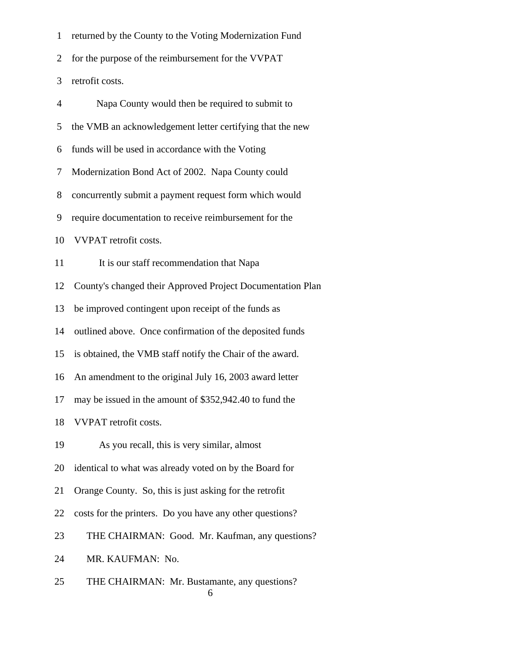1 returned by the County to the Voting Modernization Fund

2 for the purpose of the reimbursement for the VVPAT

3 retrofit costs.

| $\overline{4}$ | Napa County would then be required to submit to            |
|----------------|------------------------------------------------------------|
| 5              | the VMB an acknowledgement letter certifying that the new  |
| 6              | funds will be used in accordance with the Voting           |
| 7              | Modernization Bond Act of 2002. Napa County could          |
| 8              | concurrently submit a payment request form which would     |
| 9              | require documentation to receive reimbursement for the     |
| 10             | VVPAT retrofit costs.                                      |
| 11             | It is our staff recommendation that Napa                   |
| 12             | County's changed their Approved Project Documentation Plan |
| 13             | be improved contingent upon receipt of the funds as        |
| 14             | outlined above. Once confirmation of the deposited funds   |
| 15             | is obtained, the VMB staff notify the Chair of the award.  |
| 16             | An amendment to the original July 16, 2003 award letter    |
| 17             | may be issued in the amount of \$352,942.40 to fund the    |
| 18             | VVPAT retrofit costs.                                      |
| 19             | As you recall, this is very similar, almost                |
|                | 20 identical to what was already voted on by the Board for |
| 21             | Orange County. So, this is just asking for the retrofit    |
| 22             | costs for the printers. Do you have any other questions?   |
| 23             | THE CHAIRMAN: Good. Mr. Kaufman, any questions?            |
| 24             | MR. KAUFMAN: No.                                           |
| 25             | THE CHAIRMAN: Mr. Bustamante, any questions?<br>6          |
|                |                                                            |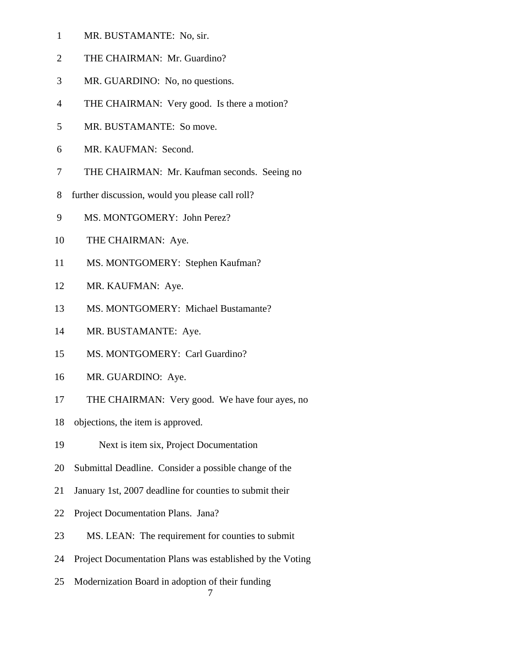- 1 MR. BUSTAMANTE: No, sir.
- 2 THE CHAIRMAN: Mr. Guardino?
- 3 MR. GUARDINO: No, no questions.
- 4 THE CHAIRMAN: Very good. Is there a motion?
- 5 MR. BUSTAMANTE: So move.
- 6 MR. KAUFMAN: Second.
- 7 THE CHAIRMAN: Mr. Kaufman seconds. Seeing no
- 8 further discussion, would you please call roll?
- 9 MS. MONTGOMERY: John Perez?
- 10 THE CHAIRMAN: Aye.
- 11 MS. MONTGOMERY: Stephen Kaufman?
- 12 MR. KAUFMAN: Aye.
- 13 MS. MONTGOMERY: Michael Bustamante?
- 14 MR. BUSTAMANTE: Aye.
- 15 MS. MONTGOMERY: Carl Guardino?
- 16 MR. GUARDINO: Aye.
- 17 THE CHAIRMAN: Very good. We have four ayes, no
- 18 objections, the item is approved.
- 19 Next is item six, Project Documentation
- 20 Submittal Deadline. Consider a possible change of the
- 21 January 1st, 2007 deadline for counties to submit their
- 22 Project Documentation Plans. Jana?
- 23 MS. LEAN: The requirement for counties to submit
- 24 Project Documentation Plans was established by the Voting
- 25 Modernization Board in adoption of their funding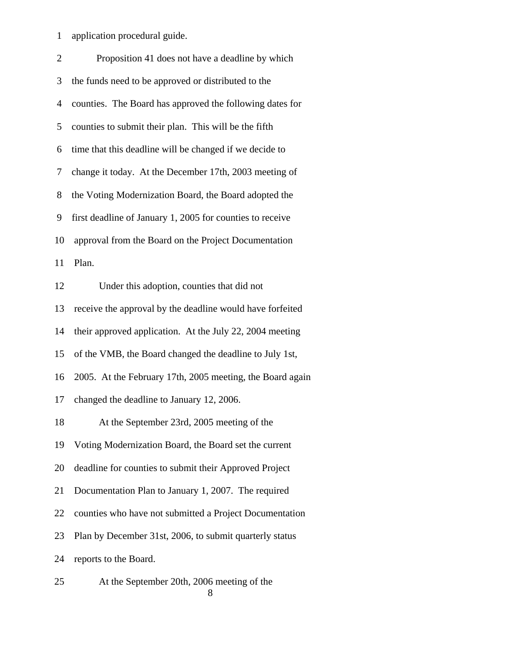1 application procedural guide.

| $\overline{2}$ | Proposition 41 does not have a deadline by which          |
|----------------|-----------------------------------------------------------|
| 3              | the funds need to be approved or distributed to the       |
| $\overline{4}$ | counties. The Board has approved the following dates for  |
| 5              | counties to submit their plan. This will be the fifth     |
| 6              | time that this deadline will be changed if we decide to   |
| 7              | change it today. At the December 17th, 2003 meeting of    |
| 8              | the Voting Modernization Board, the Board adopted the     |
| 9              | first deadline of January 1, 2005 for counties to receive |
| 10             | approval from the Board on the Project Documentation      |
| 11             | Plan.                                                     |
| 12             | Under this adoption, counties that did not                |
| 13             | receive the approval by the deadline would have forfeited |
| 14             | their approved application. At the July 22, 2004 meeting  |
| 15             | of the VMB, the Board changed the deadline to July 1st,   |
| 16             | 2005. At the February 17th, 2005 meeting, the Board again |
| 17             | changed the deadline to January 12, 2006.                 |
| 18             | At the September 23rd, 2005 meeting of the                |
| 19             | Voting Modernization Board, the Board set the current     |
| 20             | deadline for counties to submit their Approved Project    |
| 21             | Documentation Plan to January 1, 2007. The required       |
| 22             | counties who have not submitted a Project Documentation   |
| 23             | Plan by December 31st, 2006, to submit quarterly status   |
| 24             | reports to the Board.                                     |
| 25             | At the September 20th, 2006 meeting of the                |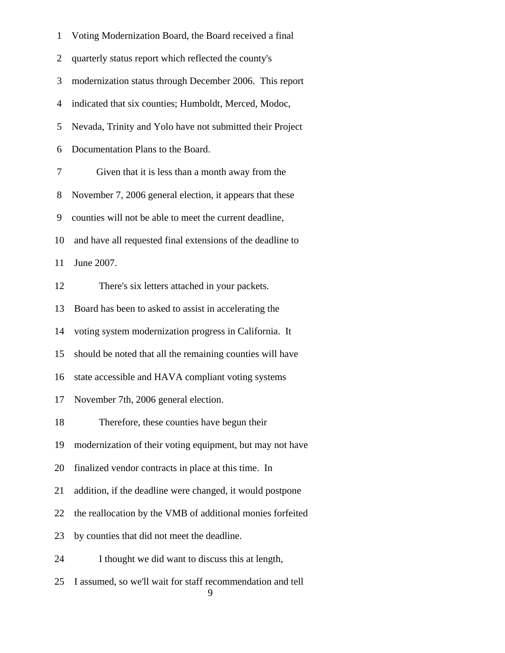| $\mathbf{1}$   | Voting Modernization Board, the Board received a final          |
|----------------|-----------------------------------------------------------------|
| $\overline{2}$ | quarterly status report which reflected the county's            |
| 3              | modernization status through December 2006. This report         |
| $\overline{4}$ | indicated that six counties; Humboldt, Merced, Modoc,           |
| 5              | Nevada, Trinity and Yolo have not submitted their Project       |
| 6              | Documentation Plans to the Board.                               |
| 7              | Given that it is less than a month away from the                |
| 8              | November 7, 2006 general election, it appears that these        |
| 9              | counties will not be able to meet the current deadline,         |
| 10             | and have all requested final extensions of the deadline to      |
| 11             | June 2007.                                                      |
| 12             | There's six letters attached in your packets.                   |
| 13             | Board has been to asked to assist in accelerating the           |
| 14             | voting system modernization progress in California. It          |
| 15             | should be noted that all the remaining counties will have       |
| 16             | state accessible and HAVA compliant voting systems              |
| 17             | November 7th, 2006 general election.                            |
| 18             | Therefore, these counties have begun their                      |
| 19             | modernization of their voting equipment, but may not have       |
| 20             | finalized vendor contracts in place at this time. In            |
| 21             | addition, if the deadline were changed, it would postpone       |
| 22             | the reallocation by the VMB of additional monies forfeited      |
| 23             | by counties that did not meet the deadline.                     |
| 24             | I thought we did want to discuss this at length,                |
| 25             | I assumed, so we'll wait for staff recommendation and tell<br>9 |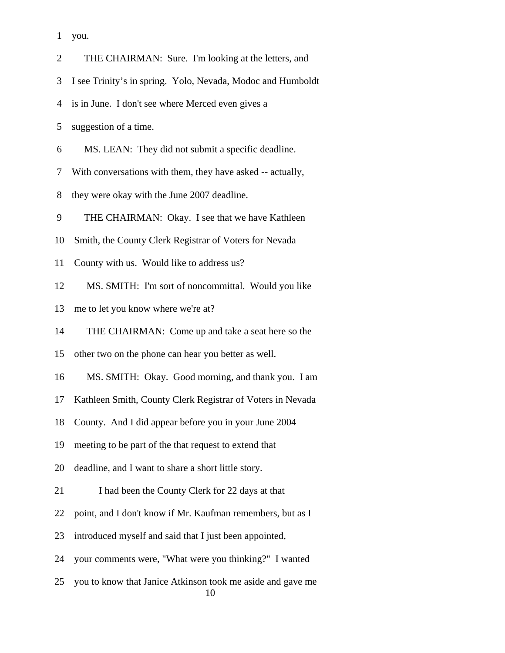1 you.

 2 THE CHAIRMAN: Sure. I'm looking at the letters, and 3 I see Trinity's in spring. Yolo, Nevada, Modoc and Humboldt 4 is in June. I don't see where Merced even gives a 5 suggestion of a time. 6 MS. LEAN: They did not submit a specific deadline. 7 With conversations with them, they have asked -- actually, 8 they were okay with the June 2007 deadline. 9 THE CHAIRMAN: Okay. I see that we have Kathleen 10 Smith, the County Clerk Registrar of Voters for Nevada 11 County with us. Would like to address us? 12 MS. SMITH: I'm sort of noncommittal. Would you like 13 me to let you know where we're at? 14 THE CHAIRMAN: Come up and take a seat here so the 15 other two on the phone can hear you better as well. 16 MS. SMITH: Okay. Good morning, and thank you. I am 17 Kathleen Smith, County Clerk Registrar of Voters in Nevada 18 County. And I did appear before you in your June 2004 19 meeting to be part of the that request to extend that 20 deadline, and I want to share a short little story. 21 I had been the County Clerk for 22 days at that 22 point, and I don't know if Mr. Kaufman remembers, but as I 23 introduced myself and said that I just been appointed, 24 your comments were, "What were you thinking?" I wanted 25 you to know that Janice Atkinson took me aside and gave me 10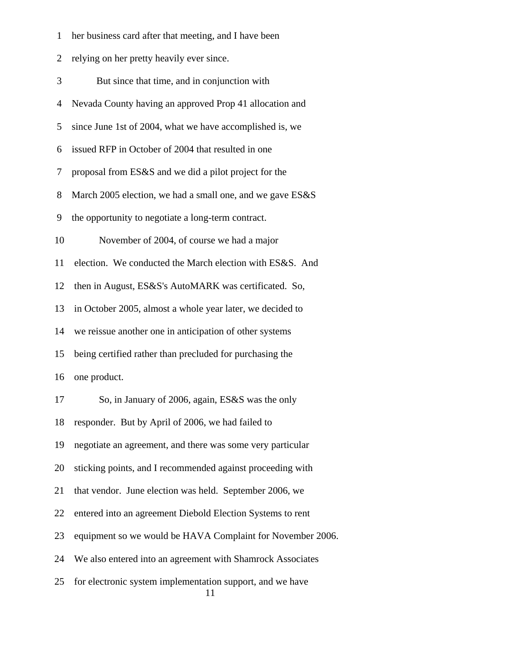1 her business card after that meeting, and I have been

2 relying on her pretty heavily ever since.

| 3  | But since that time, and in conjunction with                    |
|----|-----------------------------------------------------------------|
| 4  | Nevada County having an approved Prop 41 allocation and         |
| 5  | since June 1st of 2004, what we have accomplished is, we        |
| 6  | issued RFP in October of 2004 that resulted in one              |
| 7  | proposal from ES&S and we did a pilot project for the           |
| 8  | March 2005 election, we had a small one, and we gave ES&S       |
| 9  | the opportunity to negotiate a long-term contract.              |
| 10 | November of 2004, of course we had a major                      |
| 11 | election. We conducted the March election with ES&S. And        |
| 12 | then in August, ES&S's AutoMARK was certificated. So,           |
| 13 | in October 2005, almost a whole year later, we decided to       |
| 14 | we reissue another one in anticipation of other systems         |
| 15 | being certified rather than precluded for purchasing the        |
| 16 | one product.                                                    |
| 17 | So, in January of 2006, again, ES&S was the only                |
| 18 | responder. But by April of 2006, we had failed to               |
| 19 | negotiate an agreement, and there was some very particular      |
| 20 | sticking points, and I recommended against proceeding with      |
| 21 | that vendor. June election was held. September 2006, we         |
| 22 | entered into an agreement Diebold Election Systems to rent      |
| 23 | equipment so we would be HAVA Complaint for November 2006.      |
| 24 | We also entered into an agreement with Shamrock Associates      |
| 25 | for electronic system implementation support, and we have<br>11 |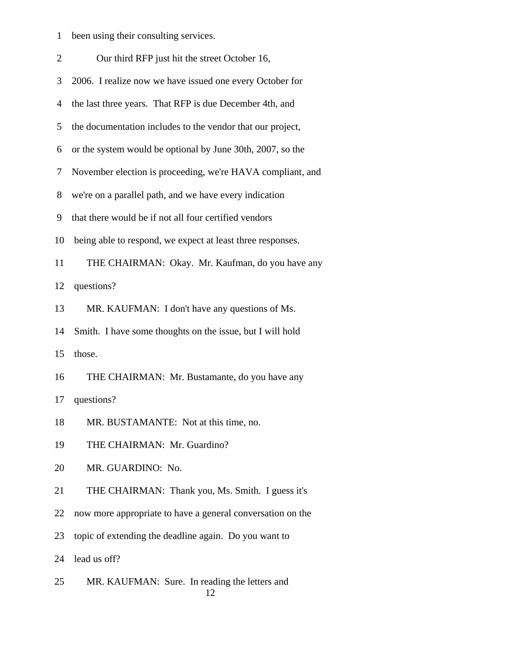|  |  | been using their consulting services. |  |
|--|--|---------------------------------------|--|
|  |  |                                       |  |

| $\overline{2}$ | Our third RFP just hit the street October 16,              |
|----------------|------------------------------------------------------------|
| 3              | 2006. I realize now we have issued one every October for   |
| 4              | the last three years. That RFP is due December 4th, and    |
| 5              | the documentation includes to the vendor that our project, |
| 6              | or the system would be optional by June 30th, 2007, so the |
| 7              | November election is proceeding, we're HAVA compliant, and |
| 8              | we're on a parallel path, and we have every indication     |
| 9              | that there would be if not all four certified vendors      |
| 10             | being able to respond, we expect at least three responses. |
| 11             | THE CHAIRMAN: Okay. Mr. Kaufman, do you have any           |
| 12             | questions?                                                 |
| 13             | MR. KAUFMAN: I don't have any questions of Ms.             |
| 14             | Smith. I have some thoughts on the issue, but I will hold  |
| 15             | those.                                                     |
| 16             | THE CHAIRMAN: Mr. Bustamante, do you have any              |
| 17             | questions?                                                 |
| 18             | MR. BUSTAMANTE: Not at this time, no.                      |
| 19             | THE CHAIRMAN: Mr. Guardino?                                |
| 20             | MR. GUARDINO: No.                                          |
| 21             | THE CHAIRMAN: Thank you, Ms. Smith. I guess it's           |
| 22             | now more appropriate to have a general conversation on the |
| 23             | topic of extending the deadline again. Do you want to      |
| 24             | lead us off?                                               |
| 25             | MR. KAUFMAN: Sure. In reading the letters and              |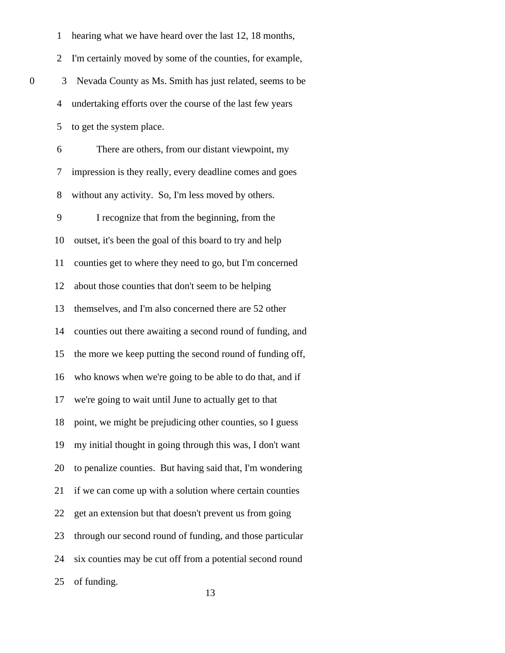|   | $\mathbf{1}$   | hearing what we have heard over the last 12, 18 months,    |
|---|----------------|------------------------------------------------------------|
|   | $\overline{2}$ | I'm certainly moved by some of the counties, for example,  |
| 0 | 3              | Nevada County as Ms. Smith has just related, seems to be   |
|   | 4              | undertaking efforts over the course of the last few years  |
|   | 5              | to get the system place.                                   |
|   | 6              | There are others, from our distant viewpoint, my           |
|   | 7              | impression is they really, every deadline comes and goes   |
|   | 8              | without any activity. So, I'm less moved by others.        |
|   | 9              | I recognize that from the beginning, from the              |
|   | 10             | outset, it's been the goal of this board to try and help   |
|   | 11             | counties get to where they need to go, but I'm concerned   |
|   | 12             | about those counties that don't seem to be helping         |
|   | 13             | themselves, and I'm also concerned there are 52 other      |
|   | 14             | counties out there awaiting a second round of funding, and |
|   | 15             | the more we keep putting the second round of funding off,  |
|   | 16             | who knows when we're going to be able to do that, and if   |
|   | 17             | we're going to wait until June to actually get to that     |
|   | 18             | point, we might be prejudicing other counties, so I guess  |
|   | 19             | my initial thought in going through this was, I don't want |
|   | 20             | to penalize counties. But having said that, I'm wondering  |
|   | 21             | if we can come up with a solution where certain counties   |
|   | 22             | get an extension but that doesn't prevent us from going    |
|   | 23             | through our second round of funding, and those particular  |
|   | 24             | six counties may be cut off from a potential second round  |
|   | 25             | of funding.                                                |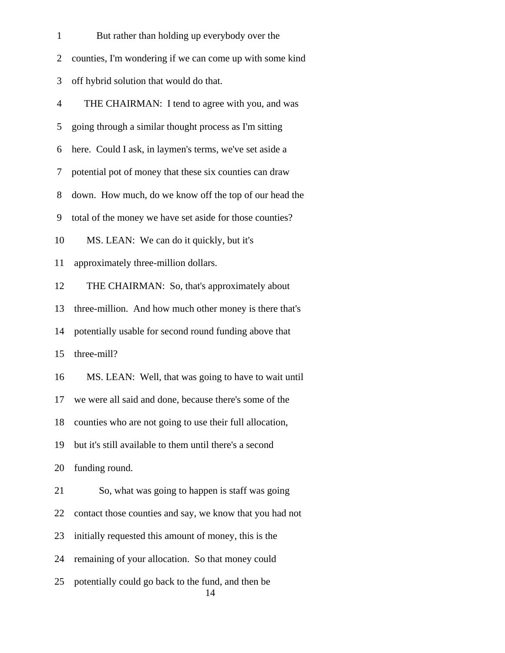| $\mathbf{1}$   | But rather than holding up everybody over the            |
|----------------|----------------------------------------------------------|
| $\overline{2}$ | counties, I'm wondering if we can come up with some kind |
| 3              | off hybrid solution that would do that.                  |
| $\overline{4}$ | THE CHAIRMAN: I tend to agree with you, and was          |
| 5              | going through a similar thought process as I'm sitting   |
| 6              | here. Could I ask, in laymen's terms, we've set aside a  |
| 7              | potential pot of money that these six counties can draw  |
| 8              | down. How much, do we know off the top of our head the   |
| 9              | total of the money we have set aside for those counties? |
| 10             | MS. LEAN: We can do it quickly, but it's                 |
| 11             | approximately three-million dollars.                     |
| 12             | THE CHAIRMAN: So, that's approximately about             |
| 13             | three-million. And how much other money is there that's  |
| 14             | potentially usable for second round funding above that   |
| 15             | three-mill?                                              |
| 16             | MS. LEAN: Well, that was going to have to wait until     |
| 17             | we were all said and done, because there's some of the   |
| 18             | counties who are not going to use their full allocation, |
| 19             | but it's still available to them until there's a second  |
| 20             | funding round.                                           |
| 21             | So, what was going to happen is staff was going          |
| 22             | contact those counties and say, we know that you had not |
| 23             | initially requested this amount of money, this is the    |
| 24             | remaining of your allocation. So that money could        |
| 25             | potentially could go back to the fund, and then be<br>14 |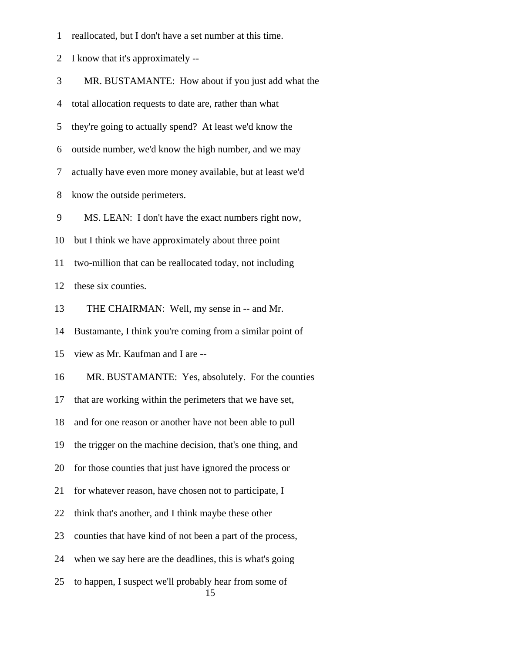1 reallocated, but I don't have a set number at this time.

2 I know that it's approximately --

3 MR. BUSTAMANTE: How about if you just add what the

4 total allocation requests to date are, rather than what

5 they're going to actually spend? At least we'd know the

6 outside number, we'd know the high number, and we may

7 actually have even more money available, but at least we'd

8 know the outside perimeters.

9 MS. LEAN: I don't have the exact numbers right now,

10 but I think we have approximately about three point

11 two-million that can be reallocated today, not including

12 these six counties.

13 THE CHAIRMAN: Well, my sense in -- and Mr.

14 Bustamante, I think you're coming from a similar point of

15 view as Mr. Kaufman and I are --

16 MR. BUSTAMANTE: Yes, absolutely. For the counties

17 that are working within the perimeters that we have set,

18 and for one reason or another have not been able to pull

19 the trigger on the machine decision, that's one thing, and

20 for those counties that just have ignored the process or

21 for whatever reason, have chosen not to participate, I

22 think that's another, and I think maybe these other

23 counties that have kind of not been a part of the process,

24 when we say here are the deadlines, this is what's going

 25 to happen, I suspect we'll probably hear from some of 15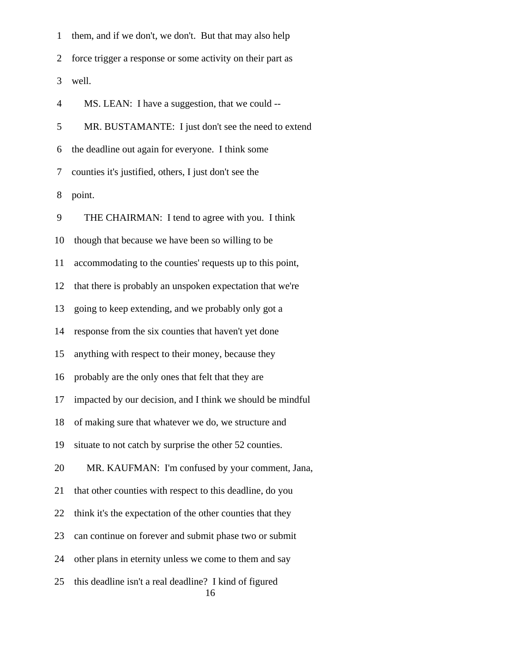1 them, and if we don't, we don't. But that may also help 2 force trigger a response or some activity on their part as 3 well. 4 MS. LEAN: I have a suggestion, that we could -- 5 MR. BUSTAMANTE: I just don't see the need to extend 6 the deadline out again for everyone. I think some 7 counties it's justified, others, I just don't see the 8 point. 9 THE CHAIRMAN: I tend to agree with you. I think 10 though that because we have been so willing to be 11 accommodating to the counties' requests up to this point, 12 that there is probably an unspoken expectation that we're 13 going to keep extending, and we probably only got a 14 response from the six counties that haven't yet done 15 anything with respect to their money, because they 16 probably are the only ones that felt that they are 17 impacted by our decision, and I think we should be mindful 18 of making sure that whatever we do, we structure and 19 situate to not catch by surprise the other 52 counties. 20 MR. KAUFMAN: I'm confused by your comment, Jana, 21 that other counties with respect to this deadline, do you 22 think it's the expectation of the other counties that they 23 can continue on forever and submit phase two or submit 24 other plans in eternity unless we come to them and say 25 this deadline isn't a real deadline? I kind of figured 16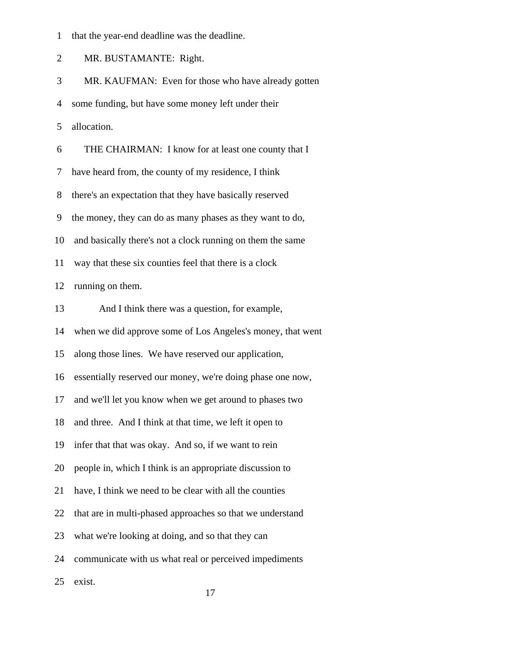1 that the year-end deadline was the deadline.

2 MR. BUSTAMANTE: Right.

3 MR. KAUFMAN: Even for those who have already gotten

4 some funding, but have some money left under their

5 allocation.

6 THE CHAIRMAN: I know for at least one county that I

7 have heard from, the county of my residence, I think

8 there's an expectation that they have basically reserved

9 the money, they can do as many phases as they want to do,

10 and basically there's not a clock running on them the same

11 way that these six counties feel that there is a clock

12 running on them.

13 And I think there was a question, for example,

14 when we did approve some of Los Angeles's money, that went

15 along those lines. We have reserved our application,

16 essentially reserved our money, we're doing phase one now,

17 and we'll let you know when we get around to phases two

18 and three. And I think at that time, we left it open to

19 infer that that was okay. And so, if we want to rein

20 people in, which I think is an appropriate discussion to

21 have, I think we need to be clear with all the counties

22 that are in multi-phased approaches so that we understand

23 what we're looking at doing, and so that they can

24 communicate with us what real or perceived impediments

25 exist.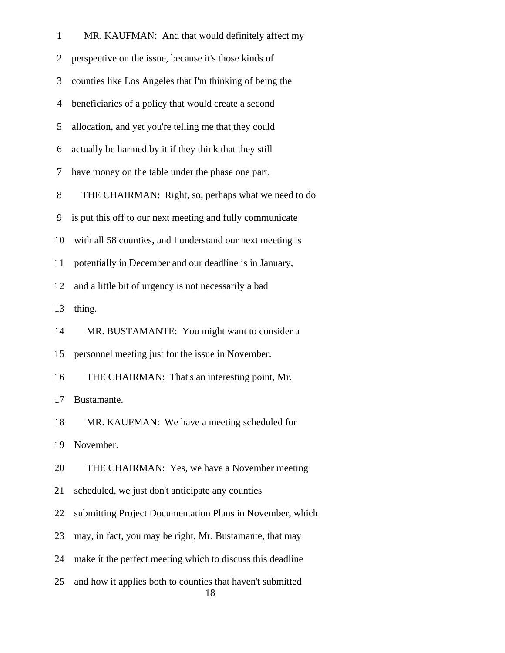| $\mathbf{1}$   | MR. KAUFMAN: And that would definitely affect my                 |
|----------------|------------------------------------------------------------------|
| $\overline{2}$ | perspective on the issue, because it's those kinds of            |
| 3              | counties like Los Angeles that I'm thinking of being the         |
| $\overline{4}$ | beneficiaries of a policy that would create a second             |
| 5              | allocation, and yet you're telling me that they could            |
| 6              | actually be harmed by it if they think that they still           |
| 7              | have money on the table under the phase one part.                |
| 8              | THE CHAIRMAN: Right, so, perhaps what we need to do              |
| 9              | is put this off to our next meeting and fully communicate        |
| 10             | with all 58 counties, and I understand our next meeting is       |
| 11             | potentially in December and our deadline is in January,          |
| 12             | and a little bit of urgency is not necessarily a bad             |
| 13             | thing.                                                           |
| 14             | MR. BUSTAMANTE: You might want to consider a                     |
| 15             | personnel meeting just for the issue in November.                |
| 16             | THE CHAIRMAN: That's an interesting point, Mr.                   |
| 17             | Bustamante.                                                      |
| 18             | MR. KAUFMAN: We have a meeting scheduled for                     |
| 19             | November.                                                        |
| 20             | THE CHAIRMAN: Yes, we have a November meeting                    |
| 21             | scheduled, we just don't anticipate any counties                 |
| 22             | submitting Project Documentation Plans in November, which        |
| 23             | may, in fact, you may be right, Mr. Bustamante, that may         |
| 24             | make it the perfect meeting which to discuss this deadline       |
| 25             | and how it applies both to counties that haven't submitted<br>18 |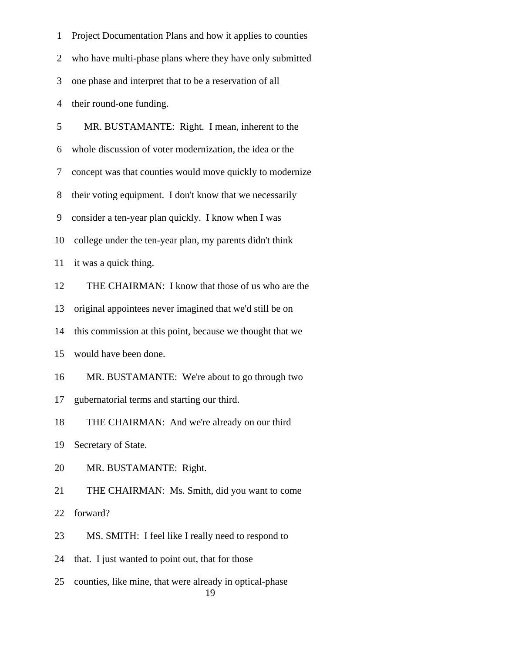1 Project Documentation Plans and how it applies to counties 2 who have multi-phase plans where they have only submitted 3 one phase and interpret that to be a reservation of all 4 their round-one funding. 5 MR. BUSTAMANTE: Right. I mean, inherent to the 6 whole discussion of voter modernization, the idea or the 7 concept was that counties would move quickly to modernize 8 their voting equipment. I don't know that we necessarily 9 consider a ten-year plan quickly. I know when I was 10 college under the ten-year plan, my parents didn't think 11 it was a quick thing. 12 THE CHAIRMAN: I know that those of us who are the 13 original appointees never imagined that we'd still be on 14 this commission at this point, because we thought that we 15 would have been done. 16 MR. BUSTAMANTE: We're about to go through two 17 gubernatorial terms and starting our third. 18 THE CHAIRMAN: And we're already on our third 19 Secretary of State. 20 MR. BUSTAMANTE: Right. 21 THE CHAIRMAN: Ms. Smith, did you want to come 22 forward? 23 MS. SMITH: I feel like I really need to respond to 24 that. I just wanted to point out, that for those 25 counties, like mine, that were already in optical-phase 19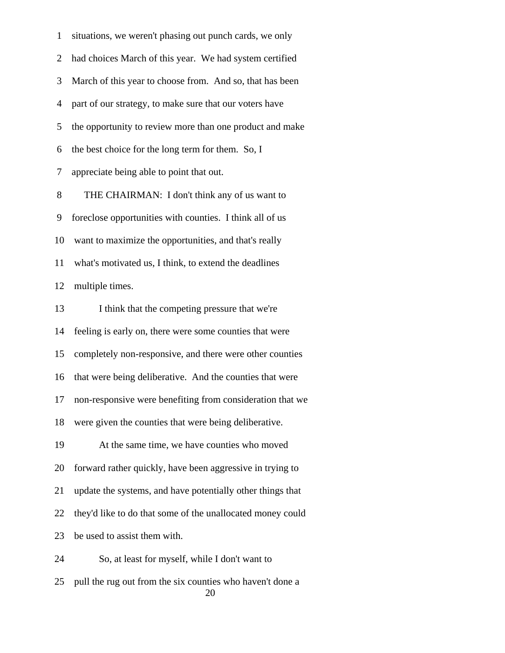1 situations, we weren't phasing out punch cards, we only 2 had choices March of this year. We had system certified 3 March of this year to choose from. And so, that has been 4 part of our strategy, to make sure that our voters have 5 the opportunity to review more than one product and make 6 the best choice for the long term for them. So, I 7 appreciate being able to point that out. 8 THE CHAIRMAN: I don't think any of us want to 9 foreclose opportunities with counties. I think all of us 10 want to maximize the opportunities, and that's really 11 what's motivated us, I think, to extend the deadlines 12 multiple times. 13 I think that the competing pressure that we're 14 feeling is early on, there were some counties that were 15 completely non-responsive, and there were other counties 16 that were being deliberative. And the counties that were 17 non-responsive were benefiting from consideration that we 18 were given the counties that were being deliberative. 19 At the same time, we have counties who moved 20 forward rather quickly, have been aggressive in trying to 21 update the systems, and have potentially other things that 22 they'd like to do that some of the unallocated money could 23 be used to assist them with. 24 So, at least for myself, while I don't want to 25 pull the rug out from the six counties who haven't done a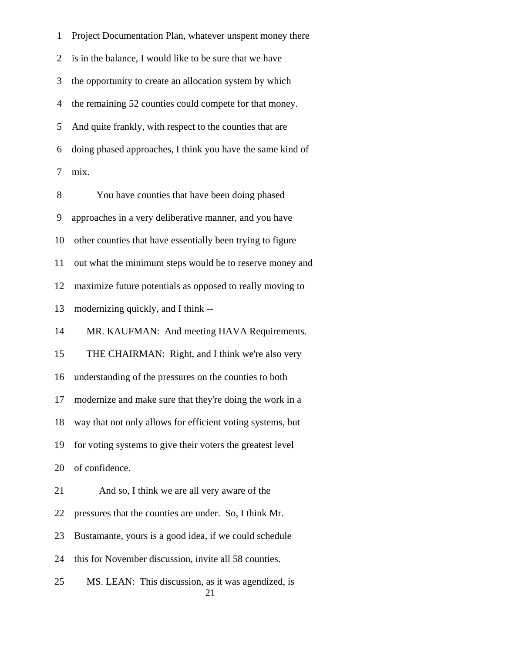1 Project Documentation Plan, whatever unspent money there 2 is in the balance, I would like to be sure that we have 3 the opportunity to create an allocation system by which 4 the remaining 52 counties could compete for that money. 5 And quite frankly, with respect to the counties that are 6 doing phased approaches, I think you have the same kind of 7 mix.

 8 You have counties that have been doing phased 9 approaches in a very deliberative manner, and you have 10 other counties that have essentially been trying to figure 11 out what the minimum steps would be to reserve money and 12 maximize future potentials as opposed to really moving to 13 modernizing quickly, and I think -- 14 MR. KAUFMAN: And meeting HAVA Requirements. 15 THE CHAIRMAN: Right, and I think we're also very 16 understanding of the pressures on the counties to both 17 modernize and make sure that they're doing the work in a 18 way that not only allows for efficient voting systems, but 19 for voting systems to give their voters the greatest level 20 of confidence. 21 And so, I think we are all very aware of the 22 pressures that the counties are under. So, I think Mr. 23 Bustamante, yours is a good idea, if we could schedule 24 this for November discussion, invite all 58 counties. 25 MS. LEAN: This discussion, as it was agendized, is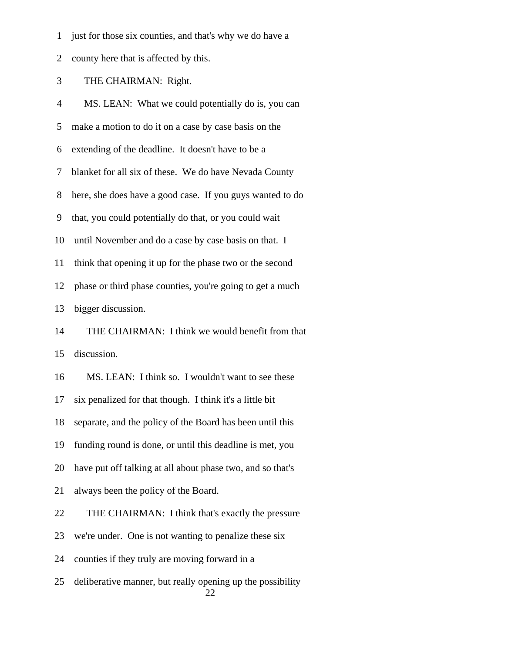- 1 just for those six counties, and that's why we do have a
- 2 county here that is affected by this.

3 THE CHAIRMAN: Right.

 4 MS. LEAN: What we could potentially do is, you can 5 make a motion to do it on a case by case basis on the 6 extending of the deadline. It doesn't have to be a 7 blanket for all six of these. We do have Nevada County 8 here, she does have a good case. If you guys wanted to do 9 that, you could potentially do that, or you could wait 10 until November and do a case by case basis on that. I 11 think that opening it up for the phase two or the second 12 phase or third phase counties, you're going to get a much 13 bigger discussion. 14 THE CHAIRMAN: I think we would benefit from that 15 discussion. 16 MS. LEAN: I think so. I wouldn't want to see these 17 six penalized for that though. I think it's a little bit 18 separate, and the policy of the Board has been until this 19 funding round is done, or until this deadline is met, you 20 have put off talking at all about phase two, and so that's 21 always been the policy of the Board. 22 THE CHAIRMAN: I think that's exactly the pressure 23 we're under. One is not wanting to penalize these six 24 counties if they truly are moving forward in a 25 deliberative manner, but really opening up the possibility 22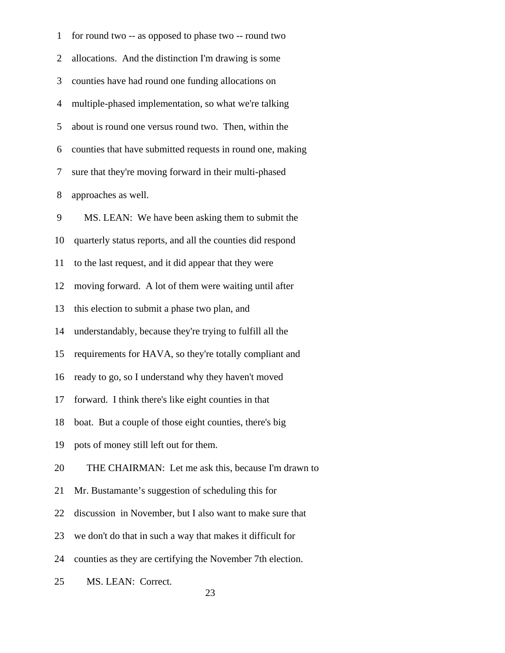| $\mathbf 1$    | for round two -- as opposed to phase two -- round two      |
|----------------|------------------------------------------------------------|
| $\overline{2}$ | allocations. And the distinction I'm drawing is some       |
| 3              | counties have had round one funding allocations on         |
| $\overline{4}$ | multiple-phased implementation, so what we're talking      |
| 5              | about is round one versus round two. Then, within the      |
| 6              | counties that have submitted requests in round one, making |
| 7              | sure that they're moving forward in their multi-phased     |
| 8              | approaches as well.                                        |
| 9              | MS. LEAN: We have been asking them to submit the           |
| 10             | quarterly status reports, and all the counties did respond |
| 11             | to the last request, and it did appear that they were      |
| 12             | moving forward. A lot of them were waiting until after     |
| 13             | this election to submit a phase two plan, and              |
| 14             | understandably, because they're trying to fulfill all the  |
| 15             | requirements for HAVA, so they're totally compliant and    |
| 16             | ready to go, so I understand why they haven't moved        |
| 17             | forward. I think there's like eight counties in that       |
| 18             | boat. But a couple of those eight counties, there's big    |
| 19             | pots of money still left out for them.                     |
| 20             | THE CHAIRMAN: Let me ask this, because I'm drawn to        |
| 21             | Mr. Bustamante's suggestion of scheduling this for         |
| 22             | discussion in November, but I also want to make sure that  |
| 23             | we don't do that in such a way that makes it difficult for |
| 24             | counties as they are certifying the November 7th election. |
| 25             | MS. LEAN: Correct.                                         |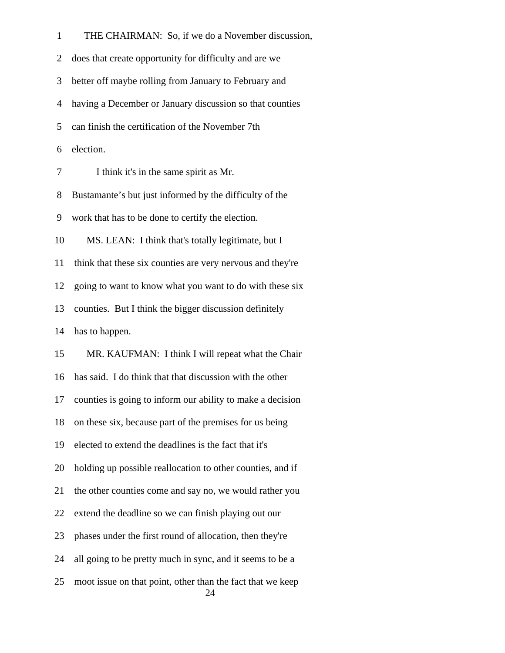1 THE CHAIRMAN: So, if we do a November discussion, 2 does that create opportunity for difficulty and are we 3 better off maybe rolling from January to February and 4 having a December or January discussion so that counties 5 can finish the certification of the November 7th 6 election. 7 I think it's in the same spirit as Mr. 8 Bustamante's but just informed by the difficulty of the 9 work that has to be done to certify the election. 10 MS. LEAN: I think that's totally legitimate, but I 11 think that these six counties are very nervous and they're 12 going to want to know what you want to do with these six 13 counties. But I think the bigger discussion definitely 14 has to happen. 15 MR. KAUFMAN: I think I will repeat what the Chair 16 has said. I do think that that discussion with the other 17 counties is going to inform our ability to make a decision 18 on these six, because part of the premises for us being 19 elected to extend the deadlines is the fact that it's 20 holding up possible reallocation to other counties, and if 21 the other counties come and say no, we would rather you 22 extend the deadline so we can finish playing out our 23 phases under the first round of allocation, then they're 24 all going to be pretty much in sync, and it seems to be a 25 moot issue on that point, other than the fact that we keep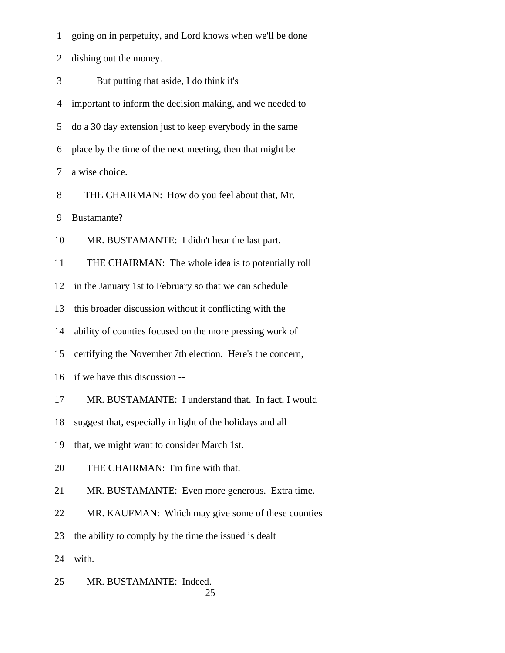1 going on in perpetuity, and Lord knows when we'll be done

2 dishing out the money.

3 But putting that aside, I do think it's

4 important to inform the decision making, and we needed to

5 do a 30 day extension just to keep everybody in the same

6 place by the time of the next meeting, then that might be

7 a wise choice.

8 THE CHAIRMAN: How do you feel about that, Mr.

9 Bustamante?

10 MR. BUSTAMANTE: I didn't hear the last part.

11 THE CHAIRMAN: The whole idea is to potentially roll

12 in the January 1st to February so that we can schedule

13 this broader discussion without it conflicting with the

14 ability of counties focused on the more pressing work of

15 certifying the November 7th election. Here's the concern,

16 if we have this discussion --

17 MR. BUSTAMANTE: I understand that. In fact, I would

18 suggest that, especially in light of the holidays and all

19 that, we might want to consider March 1st.

20 THE CHAIRMAN: I'm fine with that.

21 MR. BUSTAMANTE: Even more generous. Extra time.

22 MR. KAUFMAN: Which may give some of these counties

23 the ability to comply by the time the issued is dealt

24 with.

 25 MR. BUSTAMANTE: Indeed. 25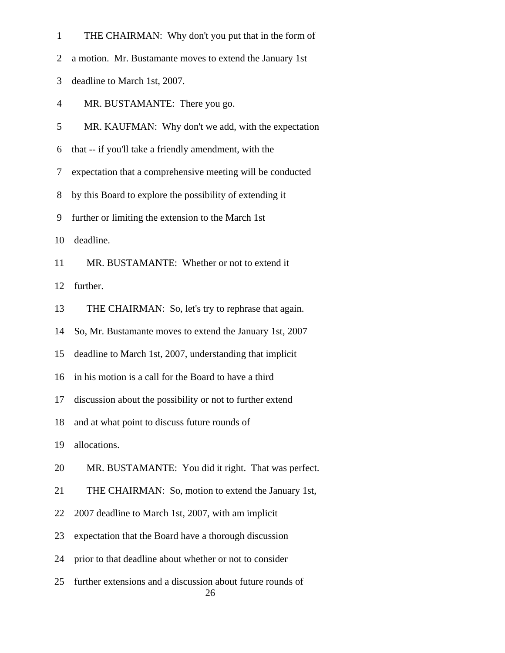|  |  | THE CHAIRMAN: Why don't you put that in the form of |
|--|--|-----------------------------------------------------|
|--|--|-----------------------------------------------------|

2 a motion. Mr. Bustamante moves to extend the January 1st

3 deadline to March 1st, 2007.

4 MR. BUSTAMANTE: There you go.

5 MR. KAUFMAN: Why don't we add, with the expectation

6 that -- if you'll take a friendly amendment, with the

7 expectation that a comprehensive meeting will be conducted

8 by this Board to explore the possibility of extending it

9 further or limiting the extension to the March 1st

10 deadline.

11 MR. BUSTAMANTE: Whether or not to extend it

12 further.

13 THE CHAIRMAN: So, let's try to rephrase that again.

14 So, Mr. Bustamante moves to extend the January 1st, 2007

15 deadline to March 1st, 2007, understanding that implicit

16 in his motion is a call for the Board to have a third

17 discussion about the possibility or not to further extend

18 and at what point to discuss future rounds of

19 allocations.

20 MR. BUSTAMANTE: You did it right. That was perfect.

21 THE CHAIRMAN: So, motion to extend the January 1st,

22 2007 deadline to March 1st, 2007, with am implicit

23 expectation that the Board have a thorough discussion

24 prior to that deadline about whether or not to consider

 25 further extensions and a discussion about future rounds of 26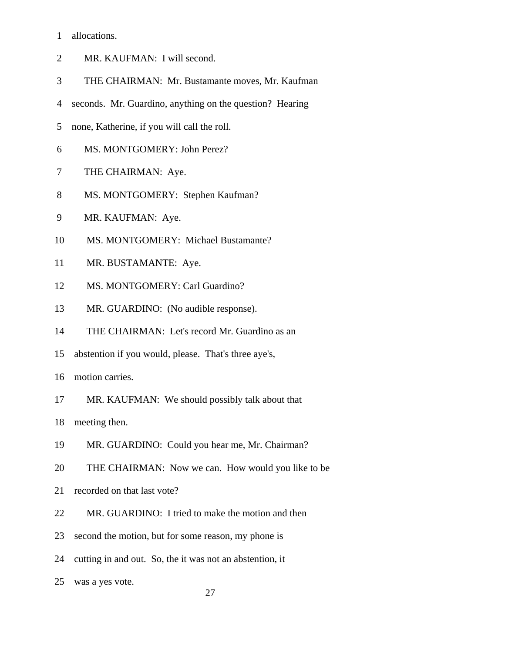- 1 allocations.
- 2 MR. KAUFMAN: I will second.
- 3 THE CHAIRMAN: Mr. Bustamante moves, Mr. Kaufman
- 4 seconds. Mr. Guardino, anything on the question? Hearing
- 5 none, Katherine, if you will call the roll.
- 6 MS. MONTGOMERY: John Perez?
- 7 THE CHAIRMAN: Aye.
- 8 MS. MONTGOMERY: Stephen Kaufman?
- 9 MR. KAUFMAN: Aye.
- 10 MS. MONTGOMERY: Michael Bustamante?
- 11 MR. BUSTAMANTE: Aye.
- 12 MS. MONTGOMERY: Carl Guardino?
- 13 MR. GUARDINO: (No audible response).
- 14 THE CHAIRMAN: Let's record Mr. Guardino as an
- 15 abstention if you would, please. That's three aye's,
- 16 motion carries.
- 17 MR. KAUFMAN: We should possibly talk about that

18 meeting then.

- 19 MR. GUARDINO: Could you hear me, Mr. Chairman?
- 20 THE CHAIRMAN: Now we can. How would you like to be
- 21 recorded on that last vote?
- 22 MR. GUARDINO: I tried to make the motion and then
- 23 second the motion, but for some reason, my phone is
- 24 cutting in and out. So, the it was not an abstention, it
- 25 was a yes vote.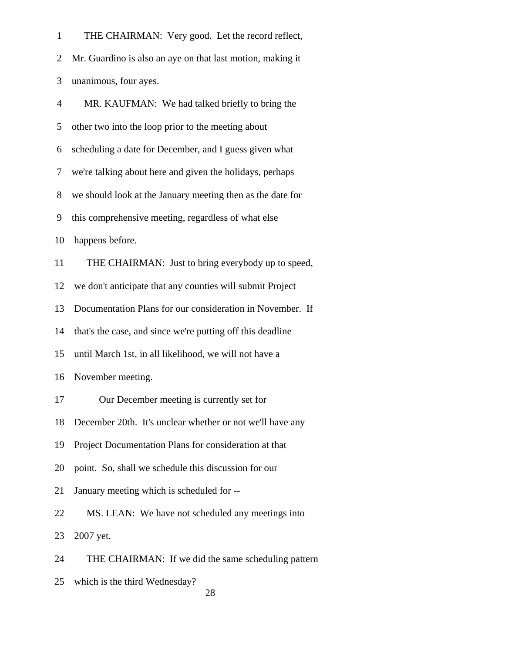| $\mathbf{1}$   | THE CHAIRMAN: Very good. Let the record reflect,           |
|----------------|------------------------------------------------------------|
| 2              | Mr. Guardino is also an aye on that last motion, making it |
| 3              | unanimous, four ayes.                                      |
| $\overline{4}$ | MR. KAUFMAN: We had talked briefly to bring the            |
| 5              | other two into the loop prior to the meeting about         |
| 6              | scheduling a date for December, and I guess given what     |
| 7              | we're talking about here and given the holidays, perhaps   |
| 8              | we should look at the January meeting then as the date for |
| 9              | this comprehensive meeting, regardless of what else        |
| 10             | happens before.                                            |
| 11             | THE CHAIRMAN: Just to bring everybody up to speed,         |
| 12             | we don't anticipate that any counties will submit Project  |
| 13             | Documentation Plans for our consideration in November. If  |
| 14             | that's the case, and since we're putting off this deadline |
| 15             | until March 1st, in all likelihood, we will not have a     |
| 16             | November meeting.                                          |
| 17             | Our December meeting is currently set for                  |
| 18             | December 20th. It's unclear whether or not we'll have any  |
| 19             | Project Documentation Plans for consideration at that      |
| 20             | point. So, shall we schedule this discussion for our       |
| 21             | January meeting which is scheduled for --                  |
| 22             | MS. LEAN: We have not scheduled any meetings into          |
| 23             | 2007 yet.                                                  |
| 24             | THE CHAIRMAN: If we did the same scheduling pattern        |
|                |                                                            |

25 which is the third Wednesday?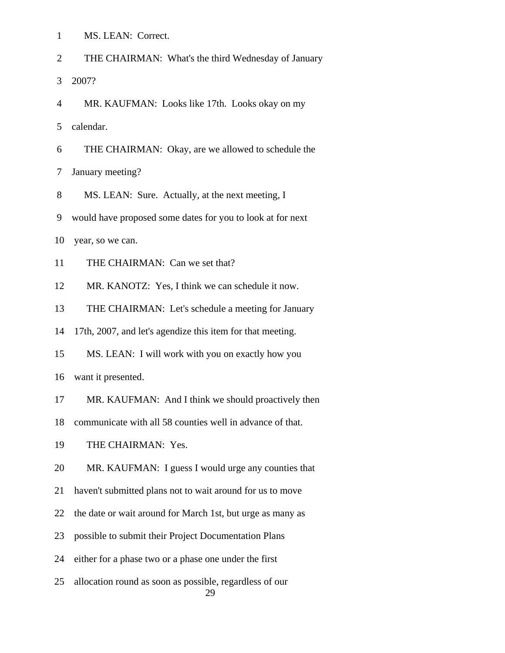| $\mathbf{1}$   | MS. LEAN: Correct.                                            |
|----------------|---------------------------------------------------------------|
| $\overline{2}$ | THE CHAIRMAN: What's the third Wednesday of January           |
| 3              | 2007?                                                         |
| $\overline{4}$ | MR. KAUFMAN: Looks like 17th. Looks okay on my                |
| 5              | calendar.                                                     |
| 6              | THE CHAIRMAN: Okay, are we allowed to schedule the            |
| 7              | January meeting?                                              |
| 8              | MS. LEAN: Sure. Actually, at the next meeting, I              |
| 9              | would have proposed some dates for you to look at for next    |
| 10             | year, so we can.                                              |
| 11             | THE CHAIRMAN: Can we set that?                                |
| 12             | MR. KANOTZ: Yes, I think we can schedule it now.              |
| 13             | THE CHAIRMAN: Let's schedule a meeting for January            |
| 14             | 17th, 2007, and let's agendize this item for that meeting.    |
| 15             | MS. LEAN: I will work with you on exactly how you             |
| 16             | want it presented.                                            |
| 17             | MR. KAUFMAN: And I think we should proactively then           |
| 18             | communicate with all 58 counties well in advance of that.     |
| 19             | THE CHAIRMAN: Yes.                                            |
| 20             | MR. KAUFMAN: I guess I would urge any counties that           |
| 21             | haven't submitted plans not to wait around for us to move     |
| 22             | the date or wait around for March 1st, but urge as many as    |
| 23             | possible to submit their Project Documentation Plans          |
| 24             | either for a phase two or a phase one under the first         |
| 25             | allocation round as soon as possible, regardless of our<br>29 |
|                |                                                               |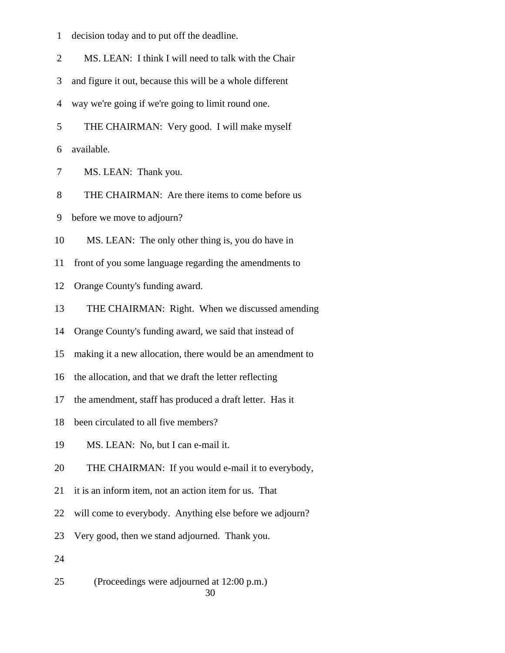|  | decision today and to put off the deadline. |  |  |  |
|--|---------------------------------------------|--|--|--|
|--|---------------------------------------------|--|--|--|

2 MS. LEAN: I think I will need to talk with the Chair

3 and figure it out, because this will be a whole different

4 way we're going if we're going to limit round one.

5 THE CHAIRMAN: Very good. I will make myself

6 available.

7 MS. LEAN: Thank you.

8 THE CHAIRMAN: Are there items to come before us

9 before we move to adjourn?

10 MS. LEAN: The only other thing is, you do have in

11 front of you some language regarding the amendments to

12 Orange County's funding award.

13 THE CHAIRMAN: Right. When we discussed amending

14 Orange County's funding award, we said that instead of

15 making it a new allocation, there would be an amendment to

16 the allocation, and that we draft the letter reflecting

17 the amendment, staff has produced a draft letter. Has it

18 been circulated to all five members?

19 MS. LEAN: No, but I can e-mail it.

20 THE CHAIRMAN: If you would e-mail it to everybody,

21 it is an inform item, not an action item for us. That

22 will come to everybody. Anything else before we adjourn?

23 Very good, then we stand adjourned. Thank you.

24

 25 (Proceedings were adjourned at 12:00 p.m.) 30